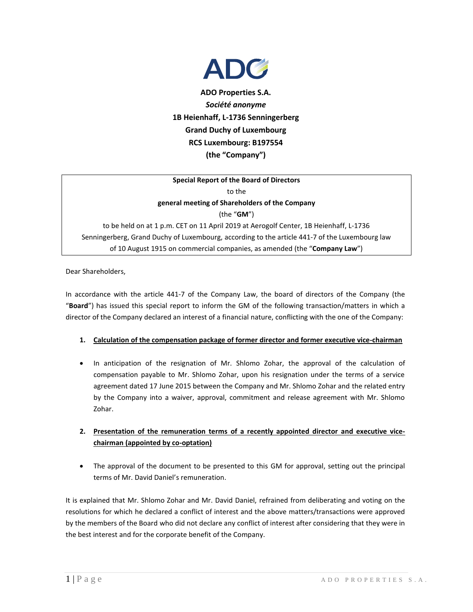

**ADO Properties S.A.** *Société anonyme* **1B Heienhaff, L-1736 Senningerberg Grand Duchy of Luxembourg RCS Luxembourg: B197554 (the "Company")**

## **Special Report of the Board of Directors** to the

**general meeting of Shareholders of the Company**

(the "**GM**")

to be held on at 1 p.m. CET on 11 April 2019 at Aerogolf Center, 1B Heienhaff, L-1736 Senningerberg, Grand Duchy of Luxembourg, according to the article 441-7 of the Luxembourg law of 10 August 1915 on commercial companies, as amended (the "**Company Law**")

Dear Shareholders,

In accordance with the article 441-7 of the Company Law, the board of directors of the Company (the "**Board**") has issued this special report to inform the GM of the following transaction/matters in which a director of the Company declared an interest of a financial nature, conflicting with the one of the Company:

## **1. Calculation of the compensation package of former director and former executive vice-chairman**

• In anticipation of the resignation of Mr. Shlomo Zohar, the approval of the calculation of compensation payable to Mr. Shlomo Zohar, upon his resignation under the terms of a service agreement dated 17 June 2015 between the Company and Mr. Shlomo Zohar and the related entry by the Company into a waiver, approval, commitment and release agreement with Mr. Shlomo Zohar.

## **2. Presentation of the remuneration terms of a recently appointed director and executive vicechairman (appointed by co-optation)**

 The approval of the document to be presented to this GM for approval, setting out the principal terms of Mr. David Daniel's remuneration.

It is explained that Mr. Shlomo Zohar and Mr. David Daniel, refrained from deliberating and voting on the resolutions for which he declared a conflict of interest and the above matters/transactions were approved by the members of the Board who did not declare any conflict of interest after considering that they were in the best interest and for the corporate benefit of the Company.